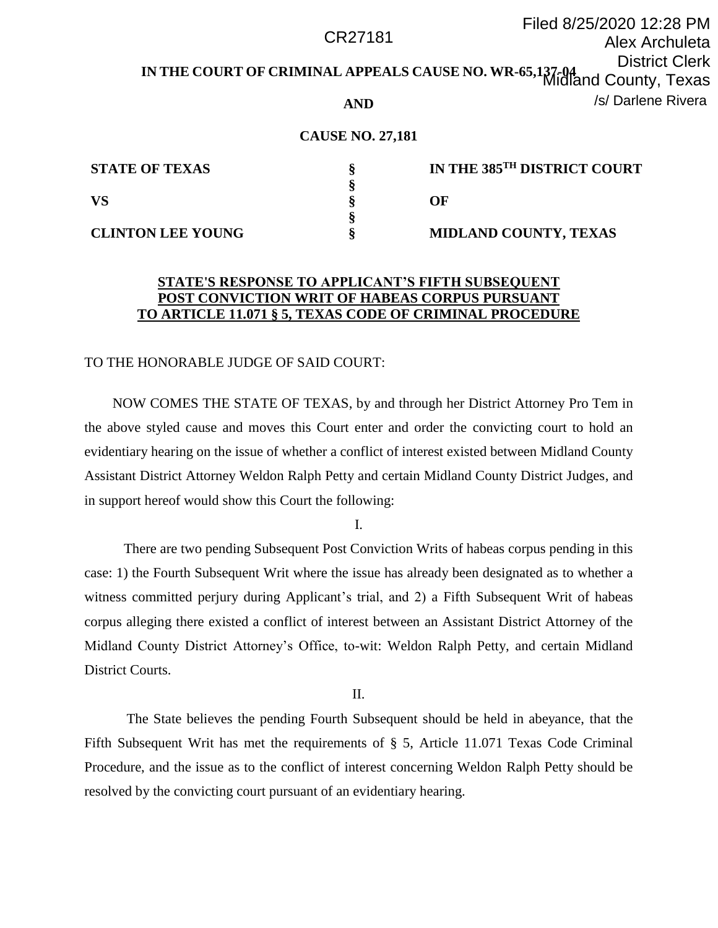#### **IN THE COURT OF CRIMINAL APPEALS CAUSE NO. WR-65,137-04** District Clerk **AND** Filed 8/25/2020 12:28 PM Alex Archuleta Midland County, Texas CR27181 /s/ Darlene Rivera

## **CAUSE NO. 27,181**

| <b>STATE OF TEXAS</b>    | IN THE 385TH DISTRICT COURT  |
|--------------------------|------------------------------|
|                          |                              |
| VS                       | OF                           |
|                          |                              |
| <b>CLINTON LEE YOUNG</b> | <b>MIDLAND COUNTY, TEXAS</b> |

# **STATE'S RESPONSE TO APPLICANT'S FIFTH SUBSEQUENT POST CONVICTION WRIT OF HABEAS CORPUS PURSUANT TO ARTICLE 11.071 § 5, TEXAS CODE OF CRIMINAL PROCEDURE**

#### TO THE HONORABLE JUDGE OF SAID COURT:

 NOW COMES THE STATE OF TEXAS, by and through her District Attorney Pro Tem in the above styled cause and moves this Court enter and order the convicting court to hold an evidentiary hearing on the issue of whether a conflict of interest existed between Midland County Assistant District Attorney Weldon Ralph Petty and certain Midland County District Judges, and in support hereof would show this Court the following:

I.

 There are two pending Subsequent Post Conviction Writs of habeas corpus pending in this case: 1) the Fourth Subsequent Writ where the issue has already been designated as to whether a witness committed perjury during Applicant's trial, and 2) a Fifth Subsequent Writ of habeas corpus alleging there existed a conflict of interest between an Assistant District Attorney of the Midland County District Attorney's Office, to-wit: Weldon Ralph Petty, and certain Midland District Courts.

II.

The State believes the pending Fourth Subsequent should be held in abeyance, that the Fifth Subsequent Writ has met the requirements of § 5, Article 11.071 Texas Code Criminal Procedure, and the issue as to the conflict of interest concerning Weldon Ralph Petty should be resolved by the convicting court pursuant of an evidentiary hearing.